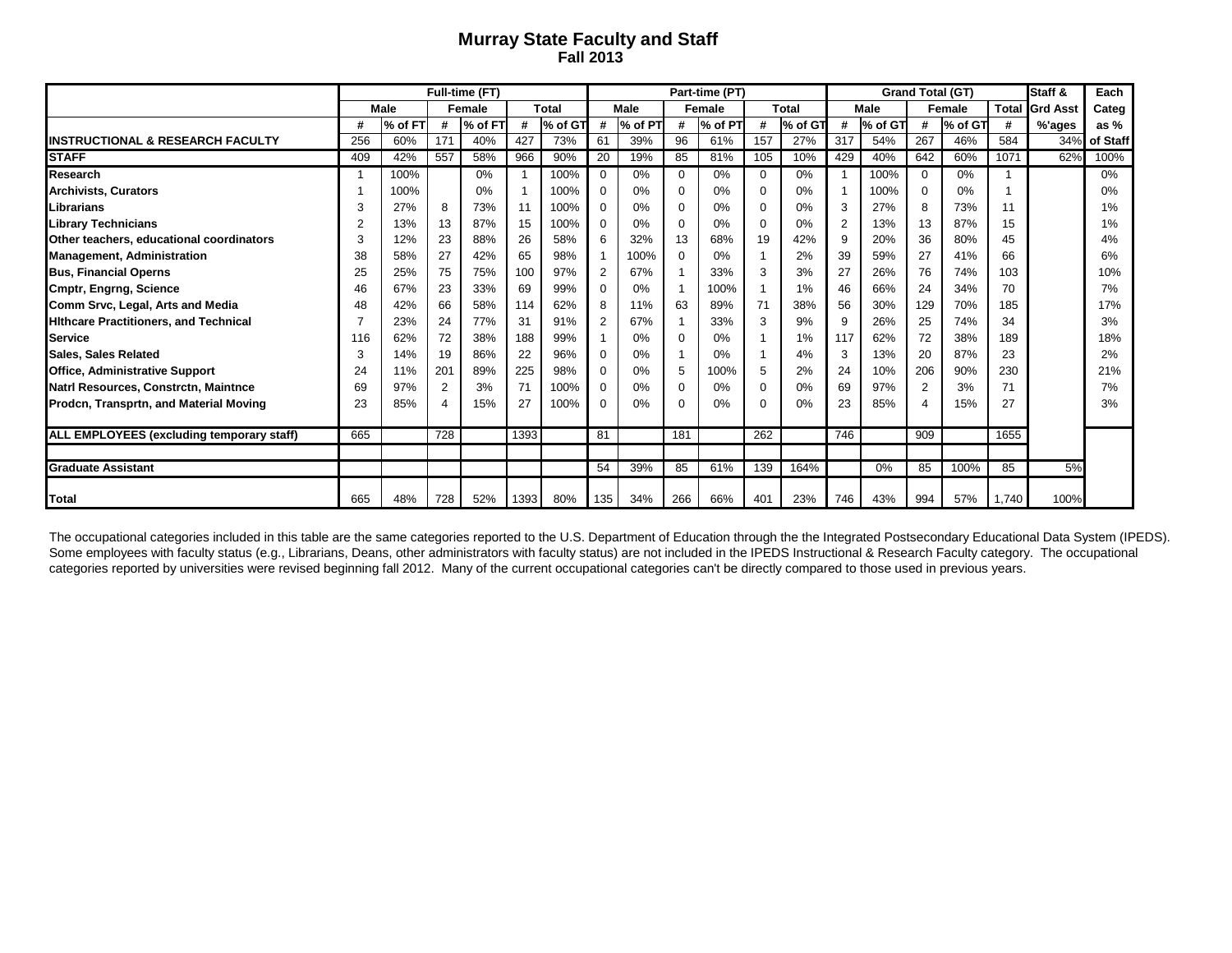## **Murray State Faculty and Staff Fall 2013**

|                                              |     |         |     | Full-time (FT) |      |         | Part-time (PT) |             |          |         |          |              |                | <b>Grand Total (GT)</b> | Staff &        | Each    |              |                 |          |
|----------------------------------------------|-----|---------|-----|----------------|------|---------|----------------|-------------|----------|---------|----------|--------------|----------------|-------------------------|----------------|---------|--------------|-----------------|----------|
|                                              |     | Male    |     | Female         |      | Total   |                | <b>Male</b> |          | Female  |          | <b>Total</b> | Male           |                         | <b>Female</b>  |         | <b>Total</b> | <b>Grd Asst</b> | Categ    |
|                                              | Ħ   | % of FT | #   | % of FT        | #    | % of GT | #              | % of PT     | #        | % of PT | #        | % of GT      | #              | % of GT                 | #              | % of GT | #            | %'ages          | as $%$   |
| <b>INSTRUCTIONAL &amp; RESEARCH FACULTY</b>  | 256 | 60%     | 171 | 40%            | 427  | 73%     | 61             | 39%         | 96       | 61%     | 157      | 27%          | 317            | 54%                     | 267            | 46%     | 584          | 34%             | of Staff |
| <b>STAFF</b>                                 | 409 | 42%     | 557 | 58%            | 966  | 90%     | 20             | 19%         | 85       | 81%     | 105      | 10%          | 429            | 40%                     | 642            | 60%     | 1071         | 62%             | 100%     |
| Research                                     |     | 100%    |     | $0\%$          |      | 100%    | 0              | 0%          | $\Omega$ | 0%      | $\Omega$ | 0%           |                | 100%                    | $\mathbf 0$    | 0%      |              |                 | 0%       |
| <b>Archivists, Curators</b>                  |     | 100%    |     | 0%             |      | 100%    | 0              | 0%          | 0        | 0%      | 0        | 0%           |                | 100%                    | 0              | 0%      |              |                 | 0%       |
| Librarians                                   |     | 27%     | 8   | 73%            | 11   | 100%    | 0              | 0%          | $\Omega$ | 0%      | $\Omega$ | 0%           | 3              | 27%                     | 8              | 73%     | 11           |                 | 1%       |
| <b>Library Technicians</b>                   |     | 13%     | 13  | 87%            | 15   | 100%    | $\Omega$       | 0%          | $\Omega$ | 0%      | $\Omega$ | 0%           | $\overline{2}$ | 13%                     | 13             | 87%     | 15           |                 | 1%       |
| Other teachers, educational coordinators     |     | 12%     | 23  | 88%            | 26   | 58%     | 6              | 32%         | 13       | 68%     | 19       | 42%          | 9              | 20%                     | 36             | 80%     | 45           |                 | 4%       |
| <b>Management, Administration</b>            | 38  | 58%     | 27  | 42%            | 65   | 98%     |                | 100%        | $\Omega$ | 0%      |          | 2%           | 39             | 59%                     | 27             | 41%     | 66           |                 | 6%       |
| <b>Bus, Financial Operns</b>                 | 25  | 25%     | 75  | 75%            | 100  | 97%     | 2              | 67%         |          | 33%     | 3        | 3%           | 27             | 26%                     | 76             | 74%     | 103          |                 | 10%      |
| <b>Cmptr, Engrng, Science</b>                | 46  | 67%     | 23  | 33%            | 69   | 99%     | 0              | 0%          |          | 100%    |          | 1%           | 46             | 66%                     | 24             | 34%     | 70           |                 | 7%       |
| Comm Srvc, Legal, Arts and Media             | 48  | 42%     | 66  | 58%            | 114  | 62%     | 8              | 11%         | 63       | 89%     | 71       | 38%          | 56             | 30%                     | 129            | 70%     | 185          |                 | 17%      |
| <b>Hithcare Practitioners, and Technical</b> |     | 23%     | 24  | 77%            | 31   | 91%     | $\overline{2}$ | 67%         |          | 33%     | 3        | 9%           | 9              | 26%                     | 25             | 74%     | 34           |                 | 3%       |
| Service                                      | 116 | 62%     | 72  | 38%            | 188  | 99%     |                | 0%          | $\Omega$ | 0%      |          | 1%           | 117            | 62%                     | 72             | 38%     | 189          |                 | 18%      |
| <b>Sales, Sales Related</b>                  | 3   | 14%     | 19  | 86%            | 22   | 96%     | 0              | 0%          |          | 0%      |          | 4%           | 3              | 13%                     | 20             | 87%     | 23           |                 | 2%       |
| <b>Office, Administrative Support</b>        | 24  | 11%     | 201 | 89%            | 225  | 98%     | 0              | 0%          | 5        | 100%    | 5        | 2%           | 24             | 10%                     | 206            | 90%     | 230          |                 | 21%      |
| Natri Resources, Constrctn, Maintnce         | 69  | 97%     | 2   | 3%             | 71   | 100%    | 0              | 0%          | $\Omega$ | 0%      | $\Omega$ | 0%           | 69             | 97%                     | 2              | 3%      | 71           |                 | 7%       |
| Prodcn, Transprtn, and Material Moving       | 23  | 85%     |     | 15%            | 27   | 100%    | $\Omega$       | 0%          | $\Omega$ | 0%      | $\Omega$ | 0%           | 23             | 85%                     | $\overline{4}$ | 15%     | 27           |                 | 3%       |
|                                              |     |         |     |                |      |         |                |             |          |         |          |              |                |                         |                |         |              |                 |          |
| ALL EMPLOYEES (excluding temporary staff)    | 665 |         | 728 |                | 1393 |         | 81             |             | 181      |         | 262      |              | 746            |                         | 909            |         | 1655         |                 |          |
| <b>Graduate Assistant</b>                    |     |         |     |                |      |         | 54             | 39%         | 85       | 61%     | 139      | 164%         |                | 0%                      | 85             | 100%    | 85           | 5%              |          |
| <b>Total</b>                                 | 665 | 48%     | 728 | 52%            | 1393 | 80%     | 135            | 34%         | 266      | 66%     | 401      | 23%          | 746            | 43%                     | 994            | 57%     | 1.740        | 100%            |          |

The occupational categories included in this table are the same categories reported to the U.S. Department of Education through the the Integrated Postsecondary Educational Data System (IPEDS). Some employees with faculty status (e.g., Librarians, Deans, other administrators with faculty status) are not included in the IPEDS Instructional & Research Faculty category. The occupational categories reported by universities were revised beginning fall 2012. Many of the current occupational categories can't be directly compared to those used in previous years.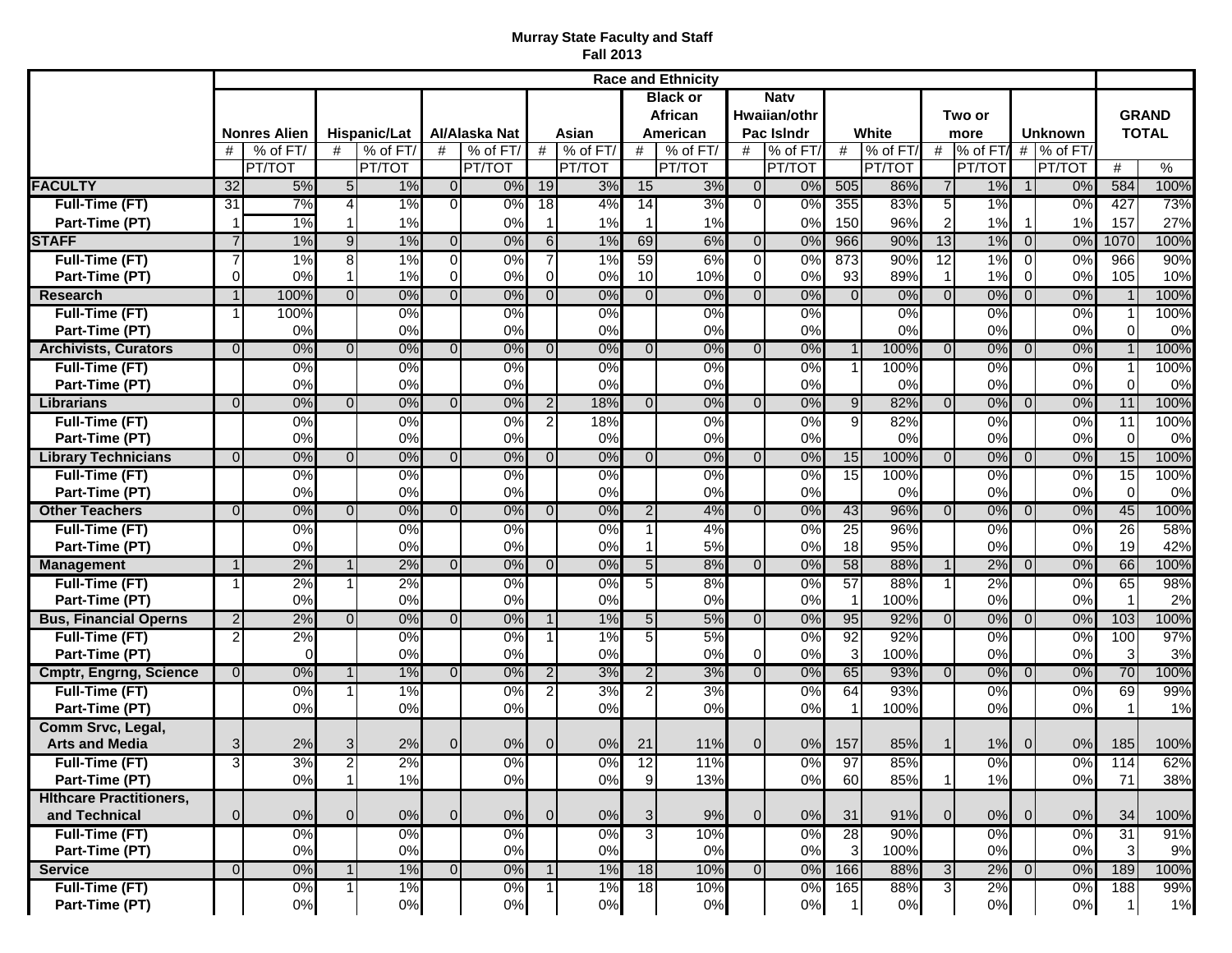## **Murray State Faculty and Staff Fall 2013**

|                                                  | <b>Race and Ethnicity</b> |                     |                |              |                |                  |                  |                     |                |                            |                                  |                  |                |               |                 |                  |                |                     |                                |                       |
|--------------------------------------------------|---------------------------|---------------------|----------------|--------------|----------------|------------------|------------------|---------------------|----------------|----------------------------|----------------------------------|------------------|----------------|---------------|-----------------|------------------|----------------|---------------------|--------------------------------|-----------------------|
|                                                  |                           |                     |                |              |                |                  |                  |                     |                | <b>Black or</b><br>African | <b>Natv</b><br>Hwaiian/othr      |                  |                |               |                 | Two or           | <b>Unknown</b> |                     | <b>GRAND</b><br><b>TOTAL</b>   |                       |
|                                                  |                           | <b>Nonres Alien</b> | Hispanic/Lat   |              | Al/Alaska Nat  |                  | Asian            |                     |                | American                   | Pac Islndr                       |                  | White          |               |                 | more             |                |                     |                                |                       |
|                                                  | #                         | % of FT/            | #              | % of FT/     | #              | % of FT/         | #                | % of FT/            | #              | % of FT/                   | #                                | % of FT/         | #              | % of FT/      | #               | $%$ of FT/       |                | $#$ % of FT/        |                                |                       |
| <b>FACULTY</b>                                   | 32                        | PT/TOT<br>5%        | 5 <sub>l</sub> | PT/TOT<br>1% | $\Omega$       | PT/TOT<br>0%     | 19               | <b>PT/TOT</b><br>3% | 15             | PT/TOT<br>3%               | $\Omega$                         | PT/TOT<br>0%     | 505            | PT/TOT<br>86% | $\overline{7}$  | PT/TOT<br>$1\%$  | $\mathbf 1$    | <b>PT/TOT</b><br>0% | #<br>584                       | $\frac{9}{6}$<br>100% |
| <b>Full-Time (FT)</b>                            | 31                        | 7%                  | $\overline{4}$ | 1%           | $\Omega$       | 0%               | 18               | 4%                  | 14             | 3%                         | $\Omega$                         | 0%               | 355            | 83%           | $\overline{5}$  | 1%               |                | 0%                  | 427                            | 73%                   |
| Part-Time (PT)                                   | -1                        | 1%                  |                | 1%           |                | 0%               | $\mathbf{1}$     | 1%                  |                | 1%                         |                                  | 0%               | 150            | 96%           | $\overline{2}$  | 1%               | $\mathbf{1}$   | 1%                  | 157                            | 27%                   |
| <b>STAFF</b>                                     | $\overline{7}$            | 1%                  | $\overline{9}$ | 1%           | $\overline{0}$ | 0%               | $6 \overline{6}$ | 1%                  | 69             | 6%                         | $\overline{0}$                   | 0%               | 966            | 90%           | 13              | 1%               | $\overline{0}$ | 0%                  | 1070                           | 100%                  |
| Full-Time (FT)                                   | 7                         | 1%                  | $\overline{8}$ | 1%           | $\overline{0}$ | 0%               | $\overline{7}$   | 1%                  | 59             | 6%                         | $\overline{0}$                   | 0%               | 873            | 90%           | $\overline{12}$ | $1\%$            | $\overline{0}$ | 0%                  | 966                            | 90%                   |
| Part-Time (PT)                                   | $\Omega$                  | 0%                  | 1              | 1%           | $\mathbf 0$    | 0%               | $\overline{0}$   | 0%                  | 10             | 10%                        | $\Omega$                         | 0%               | 93             | 89%           |                 | 1%               | $\overline{0}$ | 0%                  | 105                            | 10%                   |
| <b>Research</b><br><b>Full-Time (FT)</b>         | $\overline{1}$<br>1       | 100%<br>100%        | $\overline{0}$ | 0%<br>0%     | $\Omega$       | 0%<br>0%         | $\Omega$         | 0%<br>0%            | $\Omega$       | 0%<br>0%                   | $\Omega$                         | 0%<br>0%         | $\Omega$       | 0%<br>0%      | $\Omega$        | 0%<br>0%         | $\overline{0}$ | 0%<br>0%            | $\overline{1}$                 | 100%<br>100%          |
| Part-Time (PT)                                   |                           | 0%                  |                | 0%           |                | 0%               |                  | 0%                  |                | 0%                         |                                  | 0%               |                | 0%            |                 | 0%               |                | 0%                  | $\Omega$                       | 0%                    |
| <b>Archivists, Curators</b>                      | $\Omega$                  | 0%                  | $\Omega$       | 0%           | $\Omega$       | 0%               | $\Omega$         | 0%                  | $\Omega$       | 0%                         | $\Omega$                         | 0%               |                | 100%          | $\Omega$        | 0%               | $\Omega$       | 0%                  |                                | 100%                  |
| <b>Full-Time (FT)</b>                            |                           | 0%                  |                | 0%           |                | $\overline{0\%}$ |                  | 0%                  |                | 0%                         |                                  | $0\%$            |                | 100%          |                 | 0%               |                | $\overline{0\%}$    |                                | 100%                  |
| Part-Time (PT)                                   |                           | 0%                  |                | 0%           |                | 0%               |                  | 0%                  |                | 0%                         |                                  | 0%               |                | 0%            |                 | 0%               |                | 0%                  | $\Omega$                       | 0%                    |
| Librarians                                       | $\Omega$                  | 0%                  | $\Omega$       | 0%           | $\Omega$       | 0%               | 2 <sub>1</sub>   | 18%                 | $\Omega$       | 0%                         | $\Omega$                         | 0%               | 9              | 82%           | $\Omega$        | 0%               | $\Omega$       | 0%                  | 11                             | 100%                  |
| <b>Full-Time (FT)</b><br>Part-Time (PT)          |                           | 0%<br>0%            |                | 0%<br>0%     |                | 0%<br>0%         | $\overline{2}$   | 18%<br>0%           |                | 0%<br>0%                   |                                  | 0%<br>0%         | $\overline{9}$ | 82%<br>0%     |                 | 0%<br>0%         |                | 0%<br>0%            | $\overline{11}$<br>$\mathbf 0$ | 100%<br>0%            |
| <b>Library Technicians</b>                       | $\Omega$                  | 0%                  | $\Omega$       | 0%           | $\Omega$       | 0%               | $\Omega$         | 0%                  | $\Omega$       | 0%                         | $\Omega$                         | 0%               | 15             | 100%          | $\Omega$        | 0%               | $\Omega$       | 0%                  | 15                             | 100%                  |
| <b>Full-Time (FT)</b>                            |                           | $\overline{0\%}$    |                | $0\%$        |                | $\overline{0\%}$ |                  | $\overline{0\%}$    |                | $0\%$                      |                                  | $0\%$            | 15             | 100%          |                 | $0\%$            |                | $\overline{0\%}$    | 15                             | 100%                  |
| Part-Time (PT)                                   |                           | 0%                  |                | 0%           |                | 0%               |                  | 0%                  |                | 0%                         |                                  | 0%               |                | 0%            |                 | 0%               |                | 0%                  | $\mathbf 0$                    | 0%                    |
| <b>Other Teachers</b>                            | $\Omega$                  | 0%                  | $\Omega$       | 0%           | $\Omega$       | 0%               | $\Omega$         | 0%                  | $\mathcal{P}$  | 4%                         | $\Omega$                         | 0%               | 43             | 96%           | $\Omega$        | 0%               | $\Omega$       | 0%                  | 45                             | 100%                  |
| Full-Time (FT)                                   |                           | 0%                  |                | 0%<br>0%     |                | 0%<br>0%         |                  | 0%<br>0%            |                | 4%<br>5%                   |                                  | 0%               | 25<br>18       | 96%<br>95%    |                 | 0%<br>0%         |                | 0%<br>0%            | 26<br>19                       | 58%                   |
| Part-Time (PT)<br><b>Management</b>              | $\overline{1}$            | 0%<br>2%            | $\mathbf{1}$   | 2%           | $\Omega$       | 0%               | $\Omega$         | 0%                  | 5 <sub>l</sub> | 8%                         | $\Omega$                         | 0%<br>0%         | 58             | 88%           | $\mathbf{1}$    | 2%               | $\Omega$       | 0%                  | 66                             | 42%<br>100%           |
| Full-Time (FT)                                   | -1                        | 2%                  |                | $2\%$        |                | $\overline{0\%}$ |                  | $0\%$               | 5              | 8%                         |                                  | $0\%$            | 57             | 88%           |                 | 2%               |                | $\overline{0\%}$    | 65                             | 98%                   |
| Part-Time (PT)                                   |                           | 0%                  |                | 0%           |                | 0%               |                  | 0%                  |                | 0%                         |                                  | 0%               |                | 100%          |                 | 0%               |                | 0%                  |                                | 2%                    |
| <b>Bus, Financial Operns</b>                     | $\overline{2}$            | 2%                  | $\Omega$       | 0%           | $\Omega$       | 0%               | 1                | 1%                  | 5 <sub>5</sub> | 5%                         | $\Omega$                         | 0%               | 95             | 92%           | $\Omega$        | 0%               | $\Omega$       | 0%                  | 103                            | 100%                  |
| <b>Full-Time (FT)</b>                            | $\mathcal{P}$             | 2%                  |                | $0\%$        |                | 0%               |                  | 1%                  | 5              | 5%                         |                                  | $0\%$            | 92             | 92%           |                 | 0%               |                | 0%                  | 100                            | 97%                   |
| Part-Time (PT)<br><b>Cmptr, Engrng, Science</b>  | $\Omega$                  | <sup>0</sup><br>0%  | 1              | 0%<br>1%     | $\Omega$       | 0%<br>0%         | $\overline{2}$   | 0%<br>3%            | $\overline{2}$ | 0%<br>3%                   | $\overline{0}$<br>$\overline{0}$ | 0%<br>0%         | 3<br>65        | 100%<br>93%   | $\Omega$        | 0%<br>0%         | $\Omega$       | 0%<br>0%            | 3<br>70                        | 3%<br>100%            |
| <b>Full-Time (FT)</b>                            |                           | 0%                  |                | 1%           |                | 0%               | $\overline{2}$   | 3%                  |                | 3%                         |                                  | 0%               | 64             | 93%           |                 | 0%               |                | 0%                  | 69                             | 99%                   |
| Part-Time (PT)                                   |                           | 0%                  |                | 0%           |                | 0%               |                  | 0%                  |                | 0%                         |                                  | 0%               |                | 100%          |                 | 0%               |                | 0%                  |                                | 1%                    |
| Comm Srvc, Legal,                                |                           |                     |                |              |                |                  |                  |                     |                |                            |                                  |                  |                |               |                 |                  |                |                     |                                |                       |
| <b>Arts and Media</b>                            | 3                         | 2%                  | 3              | 2%           | $\overline{0}$ | 0%               | $\overline{0}$   | 0%                  | 21             | 11%                        | $\overline{0}$                   | 0%               | 157            | 85%           |                 | 1%               | $\overline{0}$ | 0%                  | 185                            | 100%                  |
| Full-Time (FT)                                   | $\overline{3}$            | 3%                  | $\overline{a}$ | 2%           |                | $0\%$            |                  | $0\%$               | 12             | 11%                        |                                  | $0\%$            | 97             | 85%           |                 | $0\%$            |                | 0%                  | $\boxed{114}$                  | 62%                   |
| Part-Time (PT)<br><b>Hithcare Practitioners,</b> |                           | 0%                  | $\mathbf{1}$   | 1%           |                | 0%               |                  | 0%                  | $\overline{9}$ | 13%                        |                                  | 0%               | 60             | 85%           |                 | 1%               |                | 0%                  | 71                             | 38%                   |
| and Technical                                    | $\overline{0}$            | 0%                  | $\overline{0}$ | $0\%$        | $\overline{0}$ | 0%               | 0                | 0%                  | 3              | 9%                         | $\overline{0}$                   | 0%               | 31             | 91%           | $\overline{0}$  | 0%               | $\overline{0}$ | 0%                  | 34                             | 100%                  |
| Full-Time (FT)                                   |                           | 0%                  |                | $0\%$        |                | 0%               |                  | $\overline{0\%}$    | $\overline{3}$ | 10%                        |                                  | $\overline{0\%}$ | 28             | 90%           |                 | $\overline{0\%}$ |                | $\overline{0\%}$    | 31                             | 91%                   |
| Part-Time (PT)                                   |                           | 0%                  |                | 0%           |                | 0%               |                  | 0%                  |                | 0%                         |                                  | 0%               | 3 <sub>l</sub> | 100%          |                 | 0%               |                | 0%                  | 3                              | 9%                    |
| <b>Service</b>                                   | 0                         | 0%                  | $\mathbf{1}$   | 1%           | $\overline{0}$ | 0%               | 11               | 1%                  | 18             | 10%                        | $\Omega$                         | 0%               | 166            | 88%           | 3 <sup>1</sup>  | 2%               | 0              | 0%                  | 189                            | 100%                  |
| Full-Time (FT)                                   |                           | $0\%$               |                | $1\%$        |                | $0\%$            |                  | 1%                  | 18             | 10%                        |                                  | 0%               | 165            | 88%           | 3 <sup>1</sup>  | 2%               |                | $\overline{0\%}$    | 188                            | 99%                   |
| Part-Time (PT)                                   |                           | $0\%$               |                | $0\%$        |                | $0\%$            |                  | 0%                  |                | $0\%$                      |                                  | 0%               | 1 <sup>1</sup> | 0%            |                 | $0\%$            |                | $0\%$               | $\mathbf 1$                    | 1%                    |